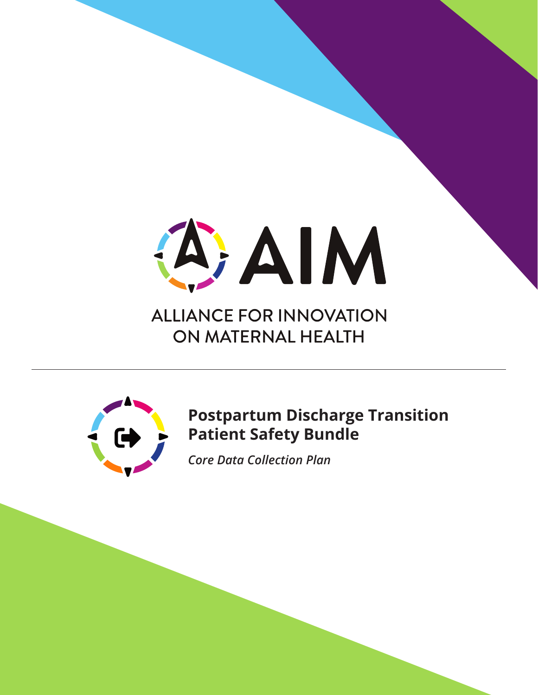

# **ALLIANCE FOR INNOVATION** ON MATERNAL HEALTH



## **Postpartum Discharge Transition Patient Safety Bundle**

*Core Data Collection Plan*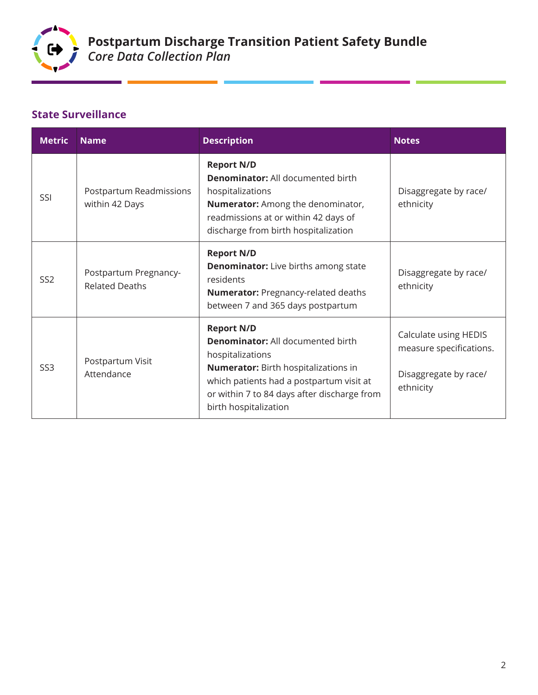

×

and the company of the

## **State Surveillance**

a.

| <b>Metric</b>   | <b>Name</b>                                    | <b>Description</b>                                                                                                                                                                                                                                   | <b>Notes</b>                                                                           |
|-----------------|------------------------------------------------|------------------------------------------------------------------------------------------------------------------------------------------------------------------------------------------------------------------------------------------------------|----------------------------------------------------------------------------------------|
| SSI             | Postpartum Readmissions<br>within 42 Days      | <b>Report N/D</b><br><b>Denominator:</b> All documented birth<br>hospitalizations<br>Numerator: Among the denominator,<br>readmissions at or within 42 days of<br>discharge from birth hospitalization                                               | Disaggregate by race/<br>ethnicity                                                     |
| SS <sub>2</sub> | Postpartum Pregnancy-<br><b>Related Deaths</b> | <b>Report N/D</b><br><b>Denominator:</b> Live births among state<br>residents<br><b>Numerator:</b> Pregnancy-related deaths<br>between 7 and 365 days postpartum                                                                                     | Disaggregate by race/<br>ethnicity                                                     |
| SS <sub>3</sub> | Postpartum Visit<br>Attendance                 | <b>Report N/D</b><br><b>Denominator:</b> All documented birth<br>hospitalizations<br><b>Numerator:</b> Birth hospitalizations in<br>which patients had a postpartum visit at<br>or within 7 to 84 days after discharge from<br>birth hospitalization | Calculate using HEDIS<br>measure specifications.<br>Disaggregate by race/<br>ethnicity |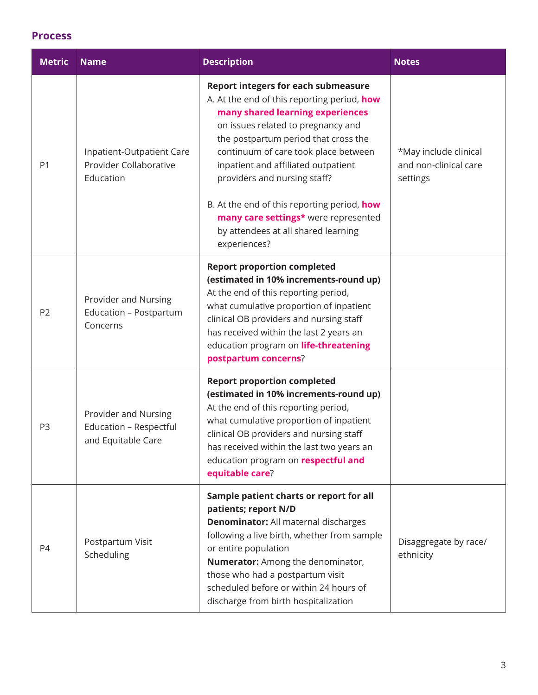#### **Process**

| <b>Metric</b>  | <b>Name</b>                                                          | <b>Description</b>                                                                                                                                                                                                                                                                                                                                                                                                                                                       | <b>Notes</b>                                               |
|----------------|----------------------------------------------------------------------|--------------------------------------------------------------------------------------------------------------------------------------------------------------------------------------------------------------------------------------------------------------------------------------------------------------------------------------------------------------------------------------------------------------------------------------------------------------------------|------------------------------------------------------------|
| P <sub>1</sub> | Inpatient-Outpatient Care<br>Provider Collaborative<br>Education     | <b>Report integers for each submeasure</b><br>A. At the end of this reporting period, how<br>many shared learning experiences<br>on issues related to pregnancy and<br>the postpartum period that cross the<br>continuum of care took place between<br>inpatient and affiliated outpatient<br>providers and nursing staff?<br>B. At the end of this reporting period, how<br>many care settings* were represented<br>by attendees at all shared learning<br>experiences? | *May include clinical<br>and non-clinical care<br>settings |
| P <sub>2</sub> | Provider and Nursing<br>Education - Postpartum<br>Concerns           | <b>Report proportion completed</b><br>(estimated in 10% increments-round up)<br>At the end of this reporting period,<br>what cumulative proportion of inpatient<br>clinical OB providers and nursing staff<br>has received within the last 2 years an<br>education program on life-threatening<br>postpartum concerns?                                                                                                                                                   |                                                            |
| P <sub>3</sub> | Provider and Nursing<br>Education - Respectful<br>and Equitable Care | <b>Report proportion completed</b><br>(estimated in 10% increments-round up)<br>At the end of this reporting period,<br>what cumulative proportion of inpatient<br>clinical OB providers and nursing staff<br>has received within the last two years an<br>education program on <b>respectful and</b><br>equitable care?                                                                                                                                                 |                                                            |
| P4             | Postpartum Visit<br>Scheduling                                       | Sample patient charts or report for all<br>patients; report N/D<br><b>Denominator:</b> All maternal discharges<br>following a live birth, whether from sample<br>or entire population<br>Numerator: Among the denominator,<br>those who had a postpartum visit<br>scheduled before or within 24 hours of<br>discharge from birth hospitalization                                                                                                                         | Disaggregate by race/<br>ethnicity                         |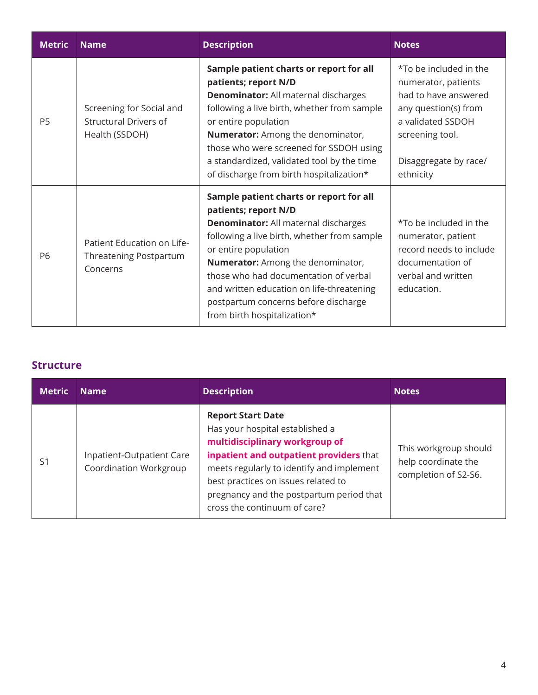| <b>Metric</b>  | <b>Name</b>                                                                | <b>Description</b>                                                                                                                                                                                                                                                                                                                                                                      | <b>Notes</b>                                                                                                                                                                |
|----------------|----------------------------------------------------------------------------|-----------------------------------------------------------------------------------------------------------------------------------------------------------------------------------------------------------------------------------------------------------------------------------------------------------------------------------------------------------------------------------------|-----------------------------------------------------------------------------------------------------------------------------------------------------------------------------|
| P <sub>5</sub> | Screening for Social and<br><b>Structural Drivers of</b><br>Health (SSDOH) | Sample patient charts or report for all<br>patients; report N/D<br><b>Denominator:</b> All maternal discharges<br>following a live birth, whether from sample<br>or entire population<br><b>Numerator:</b> Among the denominator,<br>those who were screened for SSDOH using<br>a standardized, validated tool by the time<br>of discharge from birth hospitalization*                  | *To be included in the<br>numerator, patients<br>had to have answered<br>any question(s) from<br>a validated SSDOH<br>screening tool.<br>Disaggregate by race/<br>ethnicity |
| P6             | Patient Education on Life-<br>Threatening Postpartum<br>Concerns           | Sample patient charts or report for all<br>patients; report N/D<br><b>Denominator:</b> All maternal discharges<br>following a live birth, whether from sample<br>or entire population<br>Numerator: Among the denominator,<br>those who had documentation of verbal<br>and written education on life-threatening<br>postpartum concerns before discharge<br>from birth hospitalization* | *To be included in the<br>numerator, patient<br>record needs to include<br>documentation of<br>verbal and written<br>education.                                             |

### **Structure**

| <b>Metric</b> | <b>Name</b>                                         | <b>Description</b>                                                                                                                                                                                                                                                                                       | <b>Notes</b>                                                         |
|---------------|-----------------------------------------------------|----------------------------------------------------------------------------------------------------------------------------------------------------------------------------------------------------------------------------------------------------------------------------------------------------------|----------------------------------------------------------------------|
| S1            | Inpatient-Outpatient Care<br>Coordination Workgroup | <b>Report Start Date</b><br>Has your hospital established a<br>multidisciplinary workgroup of<br>inpatient and outpatient providers that<br>meets regularly to identify and implement<br>best practices on issues related to<br>pregnancy and the postpartum period that<br>cross the continuum of care? | This workgroup should<br>help coordinate the<br>completion of S2-S6. |